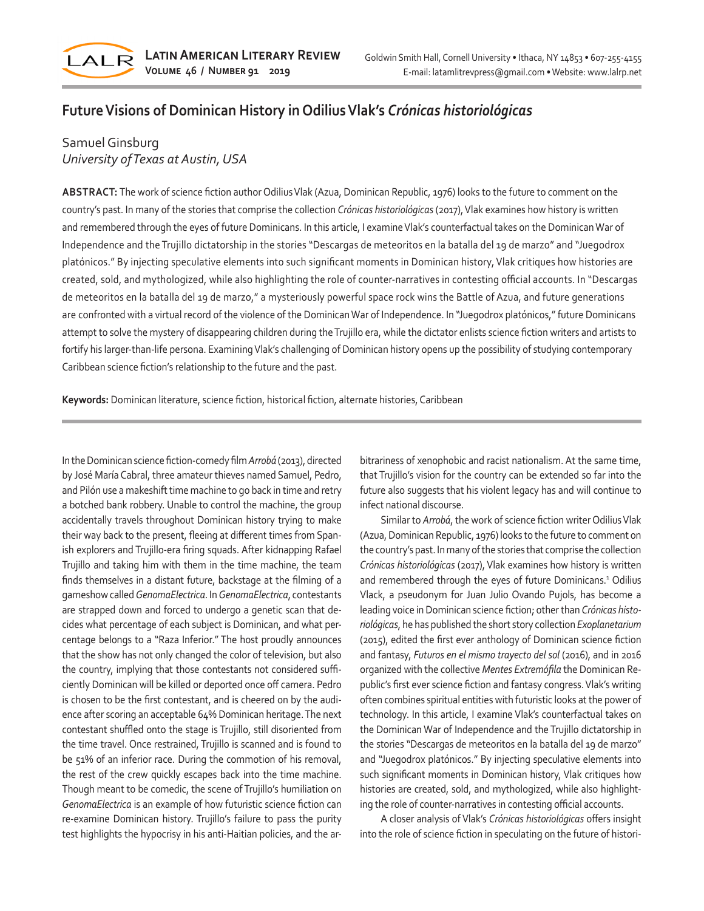

# **Future Visions of Dominican History in Odilius Vlak's** *Crónicas historiológicas*

## Samuel Ginsburg *University of Texas at Austin, USA*

**ABSTRACT:** The work of science fiction author Odilius Vlak (Azua, Dominican Republic, 1976) looks to the future to comment on the country's past. In many of the stories that comprise the collection *Crónicas historiológicas* (2017), Vlak examines how history is written and remembered through the eyes of future Dominicans. In this article, I examine Vlak's counterfactual takes on the Dominican War of Independence and the Trujillo dictatorship in the stories "Descargas de meteoritos en la batalla del 19 de marzo" and "Juegodrox platónicos." By injecting speculative elements into such significant moments in Dominican history, Vlak critiques how histories are created, sold, and mythologized, while also highlighting the role of counter-narratives in contesting official accounts. In "Descargas de meteoritos en la batalla del 19 de marzo," a mysteriously powerful space rock wins the Battle of Azua, and future generations are confronted with a virtual record of the violence of the Dominican War of Independence. In "Juegodrox platónicos," future Dominicans attempt to solve the mystery of disappearing children during the Trujillo era, while the dictator enlists science fiction writers and artists to fortify his larger-than-life persona. Examining Vlak's challenging of Dominican history opens up the possibility of studying contemporary Caribbean science fiction's relationship to the future and the past.

**Keywords:** Dominican literature, science fiction, historical fiction, alternate histories, Caribbean

In the Dominican science fiction-comedy film *Arrobá* (2013), directed by José María Cabral, three amateur thieves named Samuel, Pedro, and Pilón use a makeshift time machine to go back in time and retry a botched bank robbery. Unable to control the machine, the group accidentally travels throughout Dominican history trying to make their way back to the present, fleeing at different times from Spanish explorers and Trujillo-era firing squads. After kidnapping Rafael Trujillo and taking him with them in the time machine, the team finds themselves in a distant future, backstage at the filming of a gameshow called *GenomaElectrica*. In *GenomaElectrica*, contestants are strapped down and forced to undergo a genetic scan that decides what percentage of each subject is Dominican, and what percentage belongs to a "Raza Inferior." The host proudly announces that the show has not only changed the color of television, but also the country, implying that those contestants not considered sufficiently Dominican will be killed or deported once off camera. Pedro is chosen to be the first contestant, and is cheered on by the audience after scoring an acceptable 64% Dominican heritage. The next contestant shuffled onto the stage is Trujillo, still disoriented from the time travel. Once restrained, Trujillo is scanned and is found to be 51% of an inferior race. During the commotion of his removal, the rest of the crew quickly escapes back into the time machine. Though meant to be comedic, the scene of Trujillo's humiliation on *GenomaElectrica* is an example of how futuristic science fiction can re-examine Dominican history. Trujillo's failure to pass the purity test highlights the hypocrisy in his anti-Haitian policies, and the arbitrariness of xenophobic and racist nationalism. At the same time, that Trujillo's vision for the country can be extended so far into the future also suggests that his violent legacy has and will continue to infect national discourse.

Similar to *Arrobá*, the work of science fiction writer Odilius Vlak (Azua, Dominican Republic, 1976) looks to the future to comment on the country's past. In many of the stories that comprise the collection *Crónicas historiológicas* (2017), Vlak examines how history is written and remembered through the eyes of future Dominicans.<sup>1</sup> Odilius Vlack, a pseudonym for Juan Julio Ovando Pujols, has become a leading voice in Dominican science fiction; other than *Crónicas historiológicas*, he has published the short story collection *Exoplanetarium* (2015), edited the first ever anthology of Dominican science fiction and fantasy, *Futuros en el mismo trayecto del sol* (2016), and in 2016 organized with the collective *Mentes Extremófila* the Dominican Republic's first ever science fiction and fantasy congress. Vlak's writing often combines spiritual entities with futuristic looks at the power of technology. In this article, I examine Vlak's counterfactual takes on the Dominican War of Independence and the Trujillo dictatorship in the stories "Descargas de meteoritos en la batalla del 19 de marzo" and "Juegodrox platónicos." By injecting speculative elements into such significant moments in Dominican history, Vlak critiques how histories are created, sold, and mythologized, while also highlighting the role of counter-narratives in contesting official accounts.

A closer analysis of Vlak's *Crónicas historiológicas* offers insight into the role of science fiction in speculating on the future of histori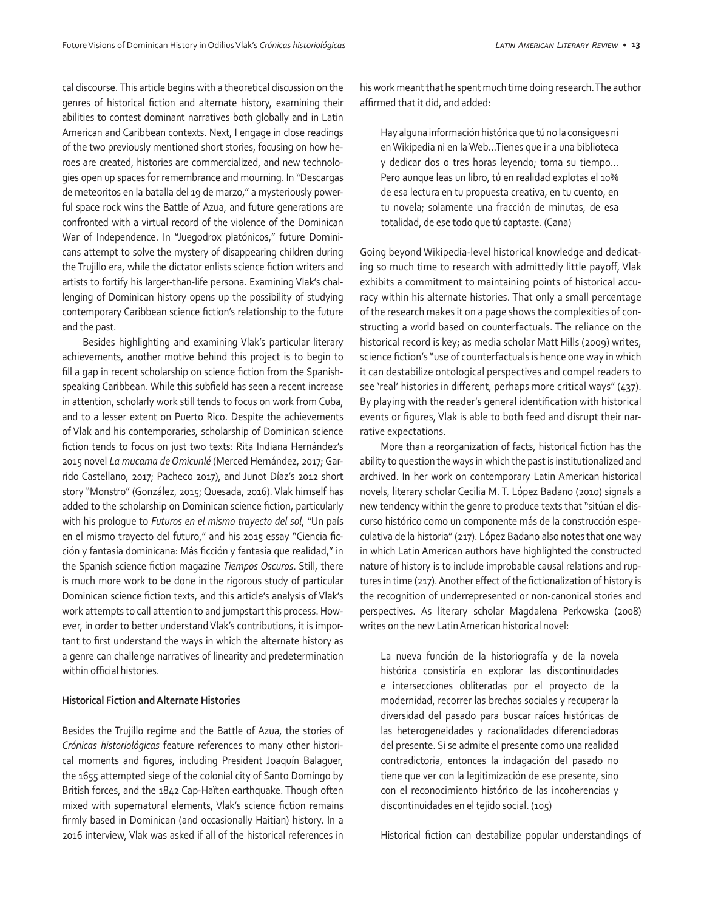cal discourse. This article begins with a theoretical discussion on the genres of historical fiction and alternate history, examining their abilities to contest dominant narratives both globally and in Latin American and Caribbean contexts. Next, I engage in close readings of the two previously mentioned short stories, focusing on how heroes are created, histories are commercialized, and new technologies open up spaces for remembrance and mourning. In "Descargas de meteoritos en la batalla del 19 de marzo," a mysteriously powerful space rock wins the Battle of Azua, and future generations are confronted with a virtual record of the violence of the Dominican War of Independence. In "Juegodrox platónicos," future Dominicans attempt to solve the mystery of disappearing children during the Trujillo era, while the dictator enlists science fiction writers and artists to fortify his larger-than-life persona. Examining Vlak's challenging of Dominican history opens up the possibility of studying contemporary Caribbean science fiction's relationship to the future and the past.

Besides highlighting and examining Vlak's particular literary achievements, another motive behind this project is to begin to fill a gap in recent scholarship on science fiction from the Spanishspeaking Caribbean. While this subfield has seen a recent increase in attention, scholarly work still tends to focus on work from Cuba, and to a lesser extent on Puerto Rico. Despite the achievements of Vlak and his contemporaries, scholarship of Dominican science fiction tends to focus on just two texts: Rita Indiana Hernández's 2015 novel *La mucama de Omicunlé* (Merced Hernández, 2017; Garrido Castellano, 2017; Pacheco 2017), and Junot Díaz's 2012 short story "Monstro" (González, 2015; Quesada, 2016). Vlak himself has added to the scholarship on Dominican science fiction, particularly with his prologue to *Futuros en el mismo trayecto del sol*, "Un país en el mismo trayecto del futuro," and his 2015 essay "Ciencia ficción y fantasía dominicana: Más ficción y fantasía que realidad," in the Spanish science fiction magazine *Tiempos Oscuros*. Still, there is much more work to be done in the rigorous study of particular Dominican science fiction texts, and this article's analysis of Vlak's work attempts to call attention to and jumpstart this process. However, in order to better understand Vlak's contributions, it is important to first understand the ways in which the alternate history as a genre can challenge narratives of linearity and predetermination within official histories.

### **Historical Fiction and Alternate Histories**

Besides the Trujillo regime and the Battle of Azua, the stories of *Crónicas historiológicas* feature references to many other historical moments and figures, including President Joaquín Balaguer, the 1655 attempted siege of the colonial city of Santo Domingo by British forces, and the 1842 Cap-Haïten earthquake. Though often mixed with supernatural elements, Vlak's science fiction remains firmly based in Dominican (and occasionally Haitian) history. In a 2016 interview, Vlak was asked if all of the historical references in his work meant that he spent much time doing research. The author affirmed that it did, and added:

Hay alguna información histórica que tú no la consigues ni en Wikipedia ni en la Web…Tienes que ir a una biblioteca y dedicar dos o tres horas leyendo; toma su tiempo… Pero aunque leas un libro, tú en realidad explotas el 10% de esa lectura en tu propuesta creativa, en tu cuento, en tu novela; solamente una fracción de minutas, de esa totalidad, de ese todo que tú captaste. (Cana)

Going beyond Wikipedia-level historical knowledge and dedicating so much time to research with admittedly little payoff, Vlak exhibits a commitment to maintaining points of historical accuracy within his alternate histories. That only a small percentage of the research makes it on a page shows the complexities of constructing a world based on counterfactuals. The reliance on the historical record is key; as media scholar Matt Hills (2009) writes, science fiction's "use of counterfactuals is hence one way in which it can destabilize ontological perspectives and compel readers to see 'real' histories in different, perhaps more critical ways" (437). By playing with the reader's general identification with historical events or figures, Vlak is able to both feed and disrupt their narrative expectations.

More than a reorganization of facts, historical fiction has the ability to question the ways in which the past is institutionalized and archived. In her work on contemporary Latin American historical novels, literary scholar Cecilia M. T. López Badano (2010) signals a new tendency within the genre to produce texts that "sitúan el discurso histórico como un componente más de la construcción especulativa de la historia" (217). López Badano also notes that one way in which Latin American authors have highlighted the constructed nature of history is to include improbable causal relations and ruptures in time (217). Another effect of the fictionalization of history is the recognition of underrepresented or non-canonical stories and perspectives. As literary scholar Magdalena Perkowska (2008) writes on the new Latin American historical novel:

La nueva función de la historiografía y de la novela histórica consistiría en explorar las discontinuidades e intersecciones obliteradas por el proyecto de la modernidad, recorrer las brechas sociales y recuperar la diversidad del pasado para buscar raíces históricas de las heterogeneidades y racionalidades diferenciadoras del presente. Si se admite el presente como una realidad contradictoria, entonces la indagación del pasado no tiene que ver con la legitimización de ese presente, sino con el reconocimiento histórico de las incoherencias y discontinuidades en el tejido social. (105)

Historical fiction can destabilize popular understandings of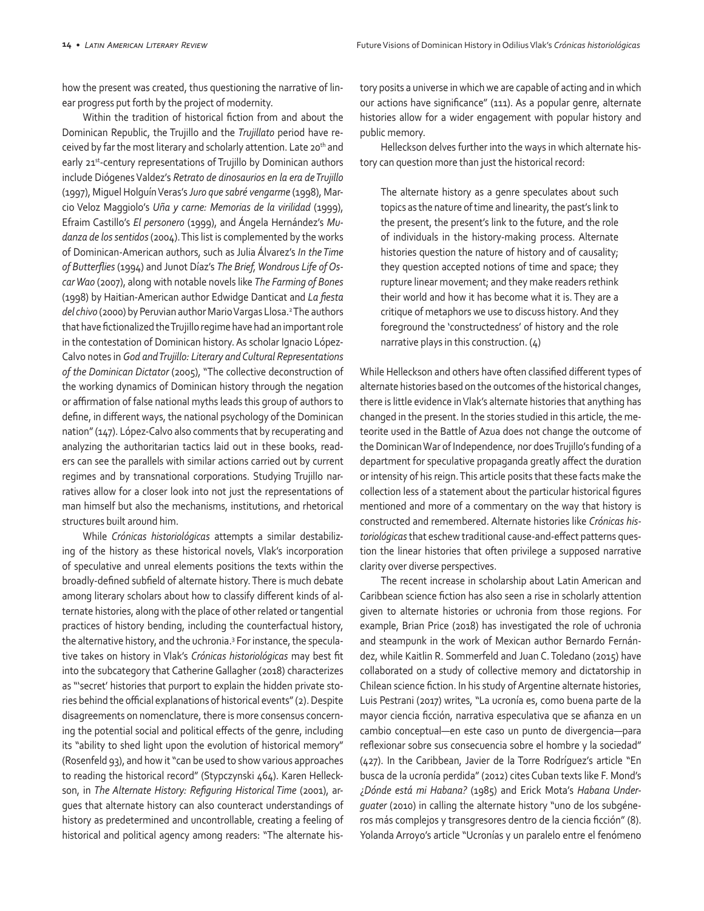how the present was created, thus questioning the narrative of linear progress put forth by the project of modernity.

Within the tradition of historical fiction from and about the Dominican Republic, the Trujillo and the *Trujillato* period have received by far the most literary and scholarly attention. Late 20<sup>th</sup> and early 21<sup>st</sup>-century representations of Trujillo by Dominican authors include Diógenes Valdez's *Retrato de dinosaurios en la era de Trujillo* (1997), Miguel Holguín Veras's *Juro que sabré vengarme* (1998), Marcio Veloz Maggiolo's *Uña y carne: Memorias de la virilidad* (1999), Efraim Castillo's *El personero* (1999), and Ángela Hernández's *Mudanza de los sentidos* (2004). This list is complemented by the works of Dominican-American authors, such as Julia Álvarez's *In the Time of Butterflies* (1994) and Junot Díaz's *The Brief, Wondrous Life of Oscar Wao* (2007), along with notable novels like *The Farming of Bones*  (1998) by Haitian-American author Edwidge Danticat and *La fiesta*  del chivo (2000) by Peruvian author Mario Vargas Llosa.<sup>2</sup> The authors that have fictionalized the Trujillo regime have had an important role in the contestation of Dominican history. As scholar Ignacio López-Calvo notes in *God and Trujillo: Literary and Cultural Representations of the Dominican Dictator* (2005), "The collective deconstruction of the working dynamics of Dominican history through the negation or affirmation of false national myths leads this group of authors to define, in different ways, the national psychology of the Dominican nation" (147). López-Calvo also comments that by recuperating and analyzing the authoritarian tactics laid out in these books, readers can see the parallels with similar actions carried out by current regimes and by transnational corporations. Studying Trujillo narratives allow for a closer look into not just the representations of man himself but also the mechanisms, institutions, and rhetorical structures built around him.

While *Crónicas historiológicas* attempts a similar destabilizing of the history as these historical novels, Vlak's incorporation of speculative and unreal elements positions the texts within the broadly-defined subfield of alternate history. There is much debate among literary scholars about how to classify different kinds of alternate histories, along with the place of other related or tangential practices of history bending, including the counterfactual history, the alternative history, and the uchronia.3 For instance, the speculative takes on history in Vlak's *Crónicas historiológicas* may best fit into the subcategory that Catherine Gallagher (2018) characterizes as "'secret' histories that purport to explain the hidden private stories behind the official explanations of historical events" (2). Despite disagreements on nomenclature, there is more consensus concerning the potential social and political effects of the genre, including its "ability to shed light upon the evolution of historical memory" (Rosenfeld 93), and how it "can be used to show various approaches to reading the historical record" (Stypczynski 464). Karen Helleckson, in *The Alternate History: Refiguring Historical Time* (2001), argues that alternate history can also counteract understandings of history as predetermined and uncontrollable, creating a feeling of historical and political agency among readers: "The alternate history posits a universe in which we are capable of acting and in which our actions have significance" (111). As a popular genre, alternate histories allow for a wider engagement with popular history and public memory.

Helleckson delves further into the ways in which alternate history can question more than just the historical record:

The alternate history as a genre speculates about such topics as the nature of time and linearity, the past's link to the present, the present's link to the future, and the role of individuals in the history-making process. Alternate histories question the nature of history and of causality; they question accepted notions of time and space; they rupture linear movement; and they make readers rethink their world and how it has become what it is. They are a critique of metaphors we use to discuss history. And they foreground the 'constructedness' of history and the role narrative plays in this construction. (4)

While Helleckson and others have often classified different types of alternate histories based on the outcomes of the historical changes, there is little evidence in Vlak's alternate histories that anything has changed in the present. In the stories studied in this article, the meteorite used in the Battle of Azua does not change the outcome of the Dominican War of Independence, nor does Trujillo's funding of a department for speculative propaganda greatly affect the duration or intensity of his reign. This article posits that these facts make the collection less of a statement about the particular historical figures mentioned and more of a commentary on the way that history is constructed and remembered. Alternate histories like *Crónicas historiológicas* that eschew traditional cause-and-effect patterns question the linear histories that often privilege a supposed narrative clarity over diverse perspectives.

The recent increase in scholarship about Latin American and Caribbean science fiction has also seen a rise in scholarly attention given to alternate histories or uchronia from those regions. For example, Brian Price (2018) has investigated the role of uchronia and steampunk in the work of Mexican author Bernardo Fernández, while Kaitlin R. Sommerfeld and Juan C. Toledano (2015) have collaborated on a study of collective memory and dictatorship in Chilean science fiction. In his study of Argentine alternate histories, Luis Pestrani (2017) writes, "La ucronía es, como buena parte de la mayor ciencia ficción, narrativa especulativa que se afianza en un cambio conceptual—en este caso un punto de divergencia—para reflexionar sobre sus consecuencia sobre el hombre y la sociedad" (427). In the Caribbean, Javier de la Torre Rodríguez's article "En busca de la ucronía perdida" (2012) cites Cuban texts like F. Mond's ¿*Dónde está mi Habana?* (1985) and Erick Mota's *Habana Underguater* (2010) in calling the alternate history "uno de los subgéneros más complejos y transgresores dentro de la ciencia ficción" (8). Yolanda Arroyo's article "Ucronías y un paralelo entre el fenómeno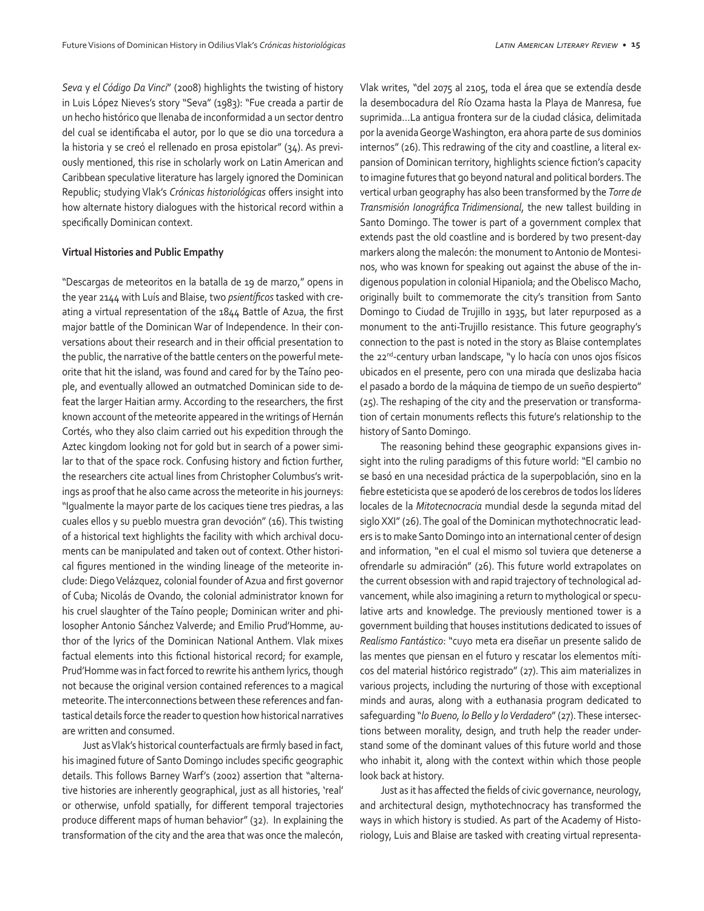*Seva* y *el Código Da Vinci*" (2008) highlights the twisting of history in Luis López Nieves's story "Seva" (1983): "Fue creada a partir de un hecho histórico que llenaba de inconformidad a un sector dentro del cual se identificaba el autor, por lo que se dio una torcedura a la historia y se creó el rellenado en prosa epistolar" (34). As previously mentioned, this rise in scholarly work on Latin American and Caribbean speculative literature has largely ignored the Dominican Republic; studying Vlak's *Crónicas historiológicas* offers insight into how alternate history dialogues with the historical record within a specifically Dominican context.

#### **Virtual Histories and Public Empathy**

"Descargas de meteoritos en la batalla de 19 de marzo," opens in the year 2144 with Luís and Blaise, two *psientíficos* tasked with creating a virtual representation of the 1844 Battle of Azua, the first major battle of the Dominican War of Independence. In their conversations about their research and in their official presentation to the public, the narrative of the battle centers on the powerful meteorite that hit the island, was found and cared for by the Taíno people, and eventually allowed an outmatched Dominican side to defeat the larger Haitian army. According to the researchers, the first known account of the meteorite appeared in the writings of Hernán Cortés, who they also claim carried out his expedition through the Aztec kingdom looking not for gold but in search of a power similar to that of the space rock. Confusing history and fiction further, the researchers cite actual lines from Christopher Columbus's writings as proof that he also came across the meteorite in his journeys: "Igualmente la mayor parte de los caciques tiene tres piedras, a las cuales ellos y su pueblo muestra gran devoción" (16). This twisting of a historical text highlights the facility with which archival documents can be manipulated and taken out of context. Other historical figures mentioned in the winding lineage of the meteorite include: Diego Velázquez, colonial founder of Azua and first governor of Cuba; Nicolás de Ovando, the colonial administrator known for his cruel slaughter of the Taíno people; Dominican writer and philosopher Antonio Sánchez Valverde; and Emilio Prud'Homme, author of the lyrics of the Dominican National Anthem. Vlak mixes factual elements into this fictional historical record; for example, Prud'Homme was in fact forced to rewrite his anthem lyrics, though not because the original version contained references to a magical meteorite. The interconnections between these references and fantastical details force the reader to question how historical narratives are written and consumed.

Just as Vlak's historical counterfactuals are firmly based in fact, his imagined future of Santo Domingo includes specific geographic details. This follows Barney Warf's (2002) assertion that "alternative histories are inherently geographical, just as all histories, 'real' or otherwise, unfold spatially, for different temporal trajectories produce different maps of human behavior" (32). In explaining the transformation of the city and the area that was once the malecón,

Vlak writes, "del 2075 al 2105, toda el área que se extendía desde la desembocadura del Río Ozama hasta la Playa de Manresa, fue suprimida…La antigua frontera sur de la ciudad clásica, delimitada por la avenida George Washington, era ahora parte de sus dominios internos" (26). This redrawing of the city and coastline, a literal expansion of Dominican territory, highlights science fiction's capacity to imagine futures that go beyond natural and political borders. The vertical urban geography has also been transformed by the *Torre de Transmisión Ionográfica Tridimensional*, the new tallest building in Santo Domingo. The tower is part of a government complex that extends past the old coastline and is bordered by two present-day markers along the malecón: the monument to Antonio de Montesinos, who was known for speaking out against the abuse of the indigenous population in colonial Hipaniola; and the Obelisco Macho, originally built to commemorate the city's transition from Santo Domingo to Ciudad de Trujillo in 1935, but later repurposed as a monument to the anti-Trujillo resistance. This future geography's connection to the past is noted in the story as Blaise contemplates the 22<sup>nd</sup>-century urban landscape, "y lo hacía con unos ojos físicos ubicados en el presente, pero con una mirada que deslizaba hacia el pasado a bordo de la máquina de tiempo de un sueño despierto" (25). The reshaping of the city and the preservation or transformation of certain monuments reflects this future's relationship to the history of Santo Domingo.

The reasoning behind these geographic expansions gives insight into the ruling paradigms of this future world: "El cambio no se basó en una necesidad práctica de la superpoblación, sino en la fiebre esteticista que se apoderó de los cerebros de todos los líderes locales de la *Mitotecnocracia* mundial desde la segunda mitad del siglo XXI" (26). The goal of the Dominican mythotechnocratic leaders is to make Santo Domingo into an international center of design and information, "en el cual el mismo sol tuviera que detenerse a ofrendarle su admiración" (26). This future world extrapolates on the current obsession with and rapid trajectory of technological advancement, while also imagining a return to mythological or speculative arts and knowledge. The previously mentioned tower is a government building that houses institutions dedicated to issues of *Realismo Fantástico*: "cuyo meta era diseñar un presente salido de las mentes que piensan en el futuro y rescatar los elementos míticos del material histórico registrado" (27). This aim materializes in various projects, including the nurturing of those with exceptional minds and auras, along with a euthanasia program dedicated to safeguarding "*lo Bueno, lo Bello y lo Verdadero*" (27). These intersections between morality, design, and truth help the reader understand some of the dominant values of this future world and those who inhabit it, along with the context within which those people look back at history.

Just as it has affected the fields of civic governance, neurology, and architectural design, mythotechnocracy has transformed the ways in which history is studied. As part of the Academy of Historiology, Luis and Blaise are tasked with creating virtual representa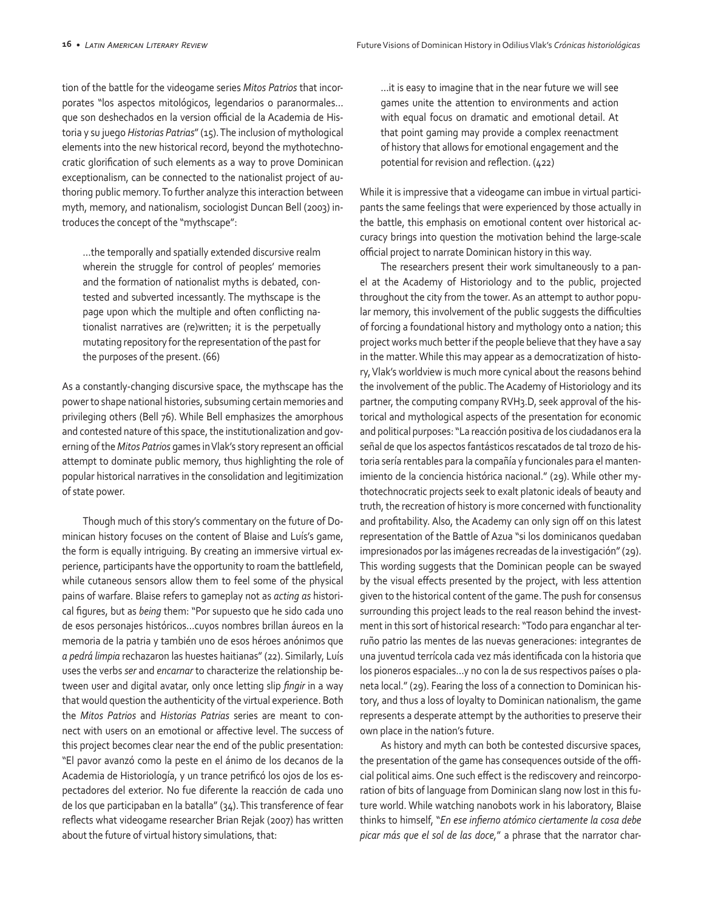tion of the battle for the videogame series *Mitos Patrios* that incorporates "los aspectos mitológicos, legendarios o paranormales… que son deshechados en la version official de la Academia de Historia y su juego *Historias Patrias*" (15). The inclusion of mythological elements into the new historical record, beyond the mythotechnocratic glorification of such elements as a way to prove Dominican exceptionalism, can be connected to the nationalist project of authoring public memory. To further analyze this interaction between myth, memory, and nationalism, sociologist Duncan Bell (2003) introduces the concept of the "mythscape":

…the temporally and spatially extended discursive realm wherein the struggle for control of peoples' memories and the formation of nationalist myths is debated, contested and subverted incessantly. The mythscape is the page upon which the multiple and often conflicting nationalist narratives are (re)written; it is the perpetually mutating repository for the representation of the past for the purposes of the present. (66)

As a constantly-changing discursive space, the mythscape has the power to shape national histories, subsuming certain memories and privileging others (Bell 76). While Bell emphasizes the amorphous and contested nature of this space, the institutionalization and governing of the *Mitos Patrios* games in Vlak's story represent an official attempt to dominate public memory, thus highlighting the role of popular historical narratives in the consolidation and legitimization of state power.

Though much of this story's commentary on the future of Dominican history focuses on the content of Blaise and Luís's game, the form is equally intriguing. By creating an immersive virtual experience, participants have the opportunity to roam the battlefield, while cutaneous sensors allow them to feel some of the physical pains of warfare. Blaise refers to gameplay not as *acting as* historical figures, but as *being* them: "Por supuesto que he sido cada uno de esos personajes históricos…cuyos nombres brillan áureos en la memoria de la patria y también uno de esos héroes anónimos que *a pedrá limpia* rechazaron las huestes haitianas" (22). Similarly, Luís uses the verbs *ser* and *encarnar* to characterize the relationship between user and digital avatar, only once letting slip *fingir* in a way that would question the authenticity of the virtual experience. Both the *Mitos Patrios* and *Historias Patrias* series are meant to connect with users on an emotional or affective level. The success of this project becomes clear near the end of the public presentation: "El pavor avanzó como la peste en el ánimo de los decanos de la Academia de Historiología, y un trance petrificó los ojos de los espectadores del exterior. No fue diferente la reacción de cada uno de los que participaban en la batalla" (34). This transference of fear reflects what videogame researcher Brian Rejak (2007) has written about the future of virtual history simulations, that:

…it is easy to imagine that in the near future we will see games unite the attention to environments and action with equal focus on dramatic and emotional detail. At that point gaming may provide a complex reenactment of history that allows for emotional engagement and the potential for revision and reflection. (422)

While it is impressive that a videogame can imbue in virtual participants the same feelings that were experienced by those actually in the battle, this emphasis on emotional content over historical accuracy brings into question the motivation behind the large-scale official project to narrate Dominican history in this way.

The researchers present their work simultaneously to a panel at the Academy of Historiology and to the public, projected throughout the city from the tower. As an attempt to author popular memory, this involvement of the public suggests the difficulties of forcing a foundational history and mythology onto a nation; this project works much better if the people believe that they have a say in the matter. While this may appear as a democratization of history, Vlak's worldview is much more cynical about the reasons behind the involvement of the public. The Academy of Historiology and its partner, the computing company RVH3.D, seek approval of the historical and mythological aspects of the presentation for economic and political purposes: "La reacción positiva de los ciudadanos era la señal de que los aspectos fantásticos rescatados de tal trozo de historia sería rentables para la compañía y funcionales para el mantenimiento de la conciencia histórica nacional." (29). While other mythotechnocratic projects seek to exalt platonic ideals of beauty and truth, the recreation of history is more concerned with functionality and profitability. Also, the Academy can only sign off on this latest representation of the Battle of Azua "si los dominicanos quedaban impresionados por las imágenes recreadas de la investigación" (29). This wording suggests that the Dominican people can be swayed by the visual effects presented by the project, with less attention given to the historical content of the game. The push for consensus surrounding this project leads to the real reason behind the investment in this sort of historical research: "Todo para enganchar al terruño patrio las mentes de las nuevas generaciones: integrantes de una juventud terrícola cada vez más identificada con la historia que los pioneros espaciales…y no con la de sus respectivos países o planeta local." (29). Fearing the loss of a connection to Dominican history, and thus a loss of loyalty to Dominican nationalism, the game represents a desperate attempt by the authorities to preserve their own place in the nation's future.

As history and myth can both be contested discursive spaces, the presentation of the game has consequences outside of the official political aims. One such effect is the rediscovery and reincorporation of bits of language from Dominican slang now lost in this future world. While watching nanobots work in his laboratory, Blaise thinks to himself, "*En ese infierno atómico ciertamente la cosa debe picar más que el sol de las doce,*" a phrase that the narrator char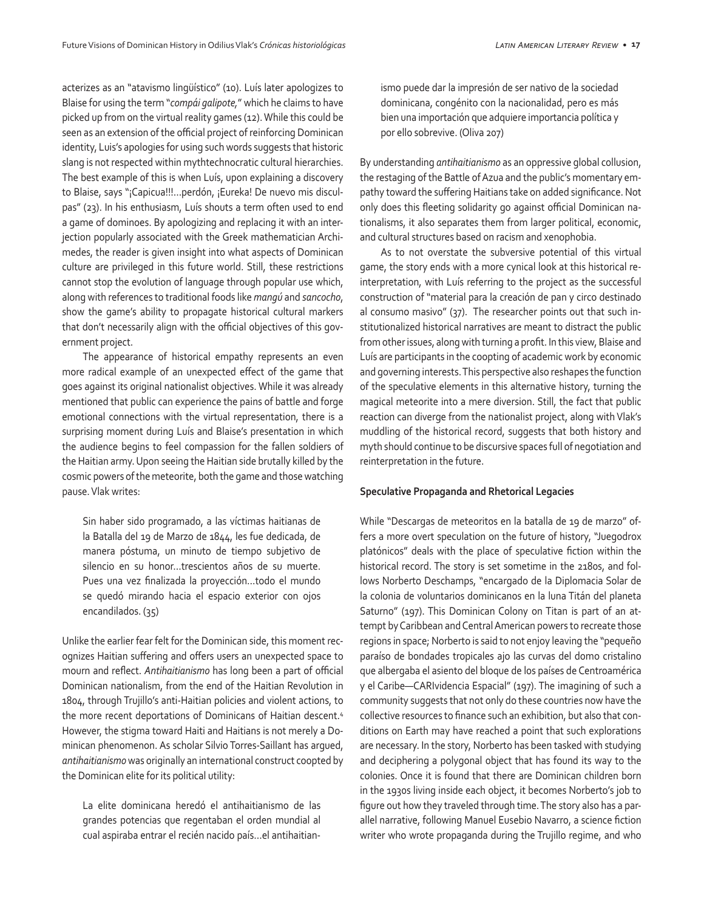acterizes as an "atavismo lingüístico" (10). Luís later apologizes to Blaise for using the term "*compái galipote,*" which he claims to have picked up from on the virtual reality games (12). While this could be seen as an extension of the official project of reinforcing Dominican identity, Luis's apologies for using such words suggests that historic slang is not respected within mythtechnocratic cultural hierarchies. The best example of this is when Luís, upon explaining a discovery to Blaise, says "¡Capicua!!!...perdón, ¡Eureka! De nuevo mis disculpas" (23). In his enthusiasm, Luís shouts a term often used to end a game of dominoes. By apologizing and replacing it with an interjection popularly associated with the Greek mathematician Archimedes, the reader is given insight into what aspects of Dominican culture are privileged in this future world. Still, these restrictions cannot stop the evolution of language through popular use which, along with references to traditional foods like *mangú* and *sancocho*, show the game's ability to propagate historical cultural markers that don't necessarily align with the official objectives of this government project.

The appearance of historical empathy represents an even more radical example of an unexpected effect of the game that goes against its original nationalist objectives. While it was already mentioned that public can experience the pains of battle and forge emotional connections with the virtual representation, there is a surprising moment during Luís and Blaise's presentation in which the audience begins to feel compassion for the fallen soldiers of the Haitian army. Upon seeing the Haitian side brutally killed by the cosmic powers of the meteorite, both the game and those watching pause. Vlak writes:

Sin haber sido programado, a las víctimas haitianas de la Batalla del 19 de Marzo de 1844, les fue dedicada, de manera póstuma, un minuto de tiempo subjetivo de silencio en su honor…trescientos años de su muerte. Pues una vez finalizada la proyección…todo el mundo se quedó mirando hacia el espacio exterior con ojos encandilados. (35)

Unlike the earlier fear felt for the Dominican side, this moment recognizes Haitian suffering and offers users an unexpected space to mourn and reflect. *Antihaitianismo* has long been a part of official Dominican nationalism, from the end of the Haitian Revolution in 1804, through Trujillo's anti-Haitian policies and violent actions, to the more recent deportations of Dominicans of Haitian descent.<sup>4</sup> However, the stigma toward Haiti and Haitians is not merely a Dominican phenomenon. As scholar Silvio Torres-Saillant has argued, *antihaitianismo* was originally an international construct coopted by the Dominican elite for its political utility:

La elite dominicana heredó el antihaitianismo de las grandes potencias que regentaban el orden mundial al cual aspiraba entrar el recién nacido país…el antihaitianismo puede dar la impresión de ser nativo de la sociedad dominicana, congénito con la nacionalidad, pero es más bien una importación que adquiere importancia política y por ello sobrevive. (Oliva 207)

By understanding *antihaitianismo* as an oppressive global collusion, the restaging of the Battle of Azua and the public's momentary empathy toward the suffering Haitians take on added significance. Not only does this fleeting solidarity go against official Dominican nationalisms, it also separates them from larger political, economic, and cultural structures based on racism and xenophobia.

As to not overstate the subversive potential of this virtual game, the story ends with a more cynical look at this historical reinterpretation, with Luís referring to the project as the successful construction of "material para la creación de pan y circo destinado al consumo masivo" (37). The researcher points out that such institutionalized historical narratives are meant to distract the public from other issues, along with turning a profit. In this view, Blaise and Luís are participants in the coopting of academic work by economic and governing interests. This perspective also reshapes the function of the speculative elements in this alternative history, turning the magical meteorite into a mere diversion. Still, the fact that public reaction can diverge from the nationalist project, along with Vlak's muddling of the historical record, suggests that both history and myth should continue to be discursive spaces full of negotiation and reinterpretation in the future.

#### **Speculative Propaganda and Rhetorical Legacies**

While "Descargas de meteoritos en la batalla de 19 de marzo" offers a more overt speculation on the future of history, "Juegodrox platónicos" deals with the place of speculative fiction within the historical record. The story is set sometime in the 2180s, and follows Norberto Deschamps, "encargado de la Diplomacia Solar de la colonia de voluntarios dominicanos en la luna Titán del planeta Saturno" (197). This Dominican Colony on Titan is part of an attempt by Caribbean and Central American powers to recreate those regions in space; Norberto is said to not enjoy leaving the "pequeño paraíso de bondades tropicales ajo las curvas del domo cristalino que albergaba el asiento del bloque de los países de Centroamérica y el Caribe—CARIvidencia Espacial" (197). The imagining of such a community suggests that not only do these countries now have the collective resources to finance such an exhibition, but also that conditions on Earth may have reached a point that such explorations are necessary. In the story, Norberto has been tasked with studying and deciphering a polygonal object that has found its way to the colonies. Once it is found that there are Dominican children born in the 1930s living inside each object, it becomes Norberto's job to figure out how they traveled through time. The story also has a parallel narrative, following Manuel Eusebio Navarro, a science fiction writer who wrote propaganda during the Trujillo regime, and who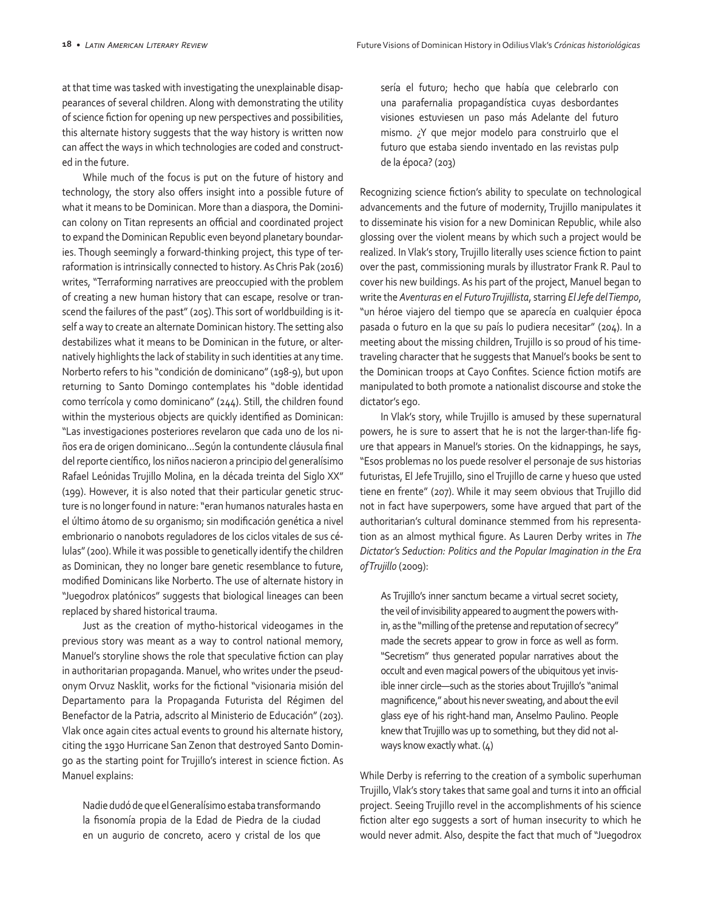at that time was tasked with investigating the unexplainable disappearances of several children. Along with demonstrating the utility of science fiction for opening up new perspectives and possibilities, this alternate history suggests that the way history is written now can affect the ways in which technologies are coded and constructed in the future.

While much of the focus is put on the future of history and technology, the story also offers insight into a possible future of what it means to be Dominican. More than a diaspora, the Dominican colony on Titan represents an official and coordinated project to expand the Dominican Republic even beyond planetary boundaries. Though seemingly a forward-thinking project, this type of terraformation is intrinsically connected to history. As Chris Pak (2016) writes, "Terraforming narratives are preoccupied with the problem of creating a new human history that can escape, resolve or transcend the failures of the past" (205). This sort of worldbuilding is itself a way to create an alternate Dominican history. The setting also destabilizes what it means to be Dominican in the future, or alternatively highlights the lack of stability in such identities at any time. Norberto refers to his "condición de dominicano" (198-9), but upon returning to Santo Domingo contemplates his "doble identidad como terrícola y como dominicano" (244). Still, the children found within the mysterious objects are quickly identified as Dominican: "Las investigaciones posteriores revelaron que cada uno de los niños era de origen dominicano…Según la contundente cláusula final del reporte científico, los niños nacieron a principio del generalísimo Rafael Leónidas Trujillo Molina, en la década treinta del Siglo XX" (199). However, it is also noted that their particular genetic structure is no longer found in nature: "eran humanos naturales hasta en el último átomo de su organismo; sin modificación genética a nivel embrionario o nanobots reguladores de los ciclos vitales de sus células" (200). While it was possible to genetically identify the children as Dominican, they no longer bare genetic resemblance to future, modified Dominicans like Norberto. The use of alternate history in "Juegodrox platónicos" suggests that biological lineages can been replaced by shared historical trauma.

Just as the creation of mytho-historical videogames in the previous story was meant as a way to control national memory, Manuel's storyline shows the role that speculative fiction can play in authoritarian propaganda. Manuel, who writes under the pseudonym Orvuz Nasklit, works for the fictional "visionaria misión del Departamento para la Propaganda Futurista del Régimen del Benefactor de la Patria, adscrito al Ministerio de Educación" (203). Vlak once again cites actual events to ground his alternate history, citing the 1930 Hurricane San Zenon that destroyed Santo Domingo as the starting point for Trujillo's interest in science fiction. As Manuel explains:

Nadie dudó de que el Generalísimo estaba transformando la fisonomía propia de la Edad de Piedra de la ciudad en un augurio de concreto, acero y cristal de los que sería el futuro; hecho que había que celebrarlo con una parafernalia propagandística cuyas desbordantes visiones estuviesen un paso más Adelante del futuro mismo. ¿Y que mejor modelo para construirlo que el futuro que estaba siendo inventado en las revistas pulp de la época? (203)

Recognizing science fiction's ability to speculate on technological advancements and the future of modernity, Trujillo manipulates it to disseminate his vision for a new Dominican Republic, while also glossing over the violent means by which such a project would be realized. In Vlak's story, Trujillo literally uses science fiction to paint over the past, commissioning murals by illustrator Frank R. Paul to cover his new buildings. As his part of the project, Manuel began to write the *Aventuras en el Futuro Trujillista*, starring *El Jefe del Tiempo*, "un héroe viajero del tiempo que se aparecía en cualquier época pasada o futuro en la que su país lo pudiera necesitar" (204). In a meeting about the missing children, Trujillo is so proud of his timetraveling character that he suggests that Manuel's books be sent to the Dominican troops at Cayo Confites. Science fiction motifs are manipulated to both promote a nationalist discourse and stoke the dictator's ego.

In Vlak's story, while Trujillo is amused by these supernatural powers, he is sure to assert that he is not the larger-than-life figure that appears in Manuel's stories. On the kidnappings, he says, "Esos problemas no los puede resolver el personaje de sus historias futuristas, El Jefe Trujillo, sino el Trujillo de carne y hueso que usted tiene en frente" (207). While it may seem obvious that Trujillo did not in fact have superpowers, some have argued that part of the authoritarian's cultural dominance stemmed from his representation as an almost mythical figure. As Lauren Derby writes in *The Dictator's Seduction: Politics and the Popular Imagination in the Era of Trujillo* (2009):

As Trujillo's inner sanctum became a virtual secret society, the veil of invisibility appeared to augment the powers within, as the "milling of the pretense and reputation of secrecy" made the secrets appear to grow in force as well as form. "Secretism" thus generated popular narratives about the occult and even magical powers of the ubiquitous yet invisible inner circle—such as the stories about Trujillo's "animal magnificence," about his never sweating, and about the evil glass eye of his right-hand man, Anselmo Paulino. People knew that Trujillo was up to something, but they did not always know exactly what. (4)

While Derby is referring to the creation of a symbolic superhuman Trujillo, Vlak's story takes that same goal and turns it into an official project. Seeing Trujillo revel in the accomplishments of his science fiction alter ego suggests a sort of human insecurity to which he would never admit. Also, despite the fact that much of "Juegodrox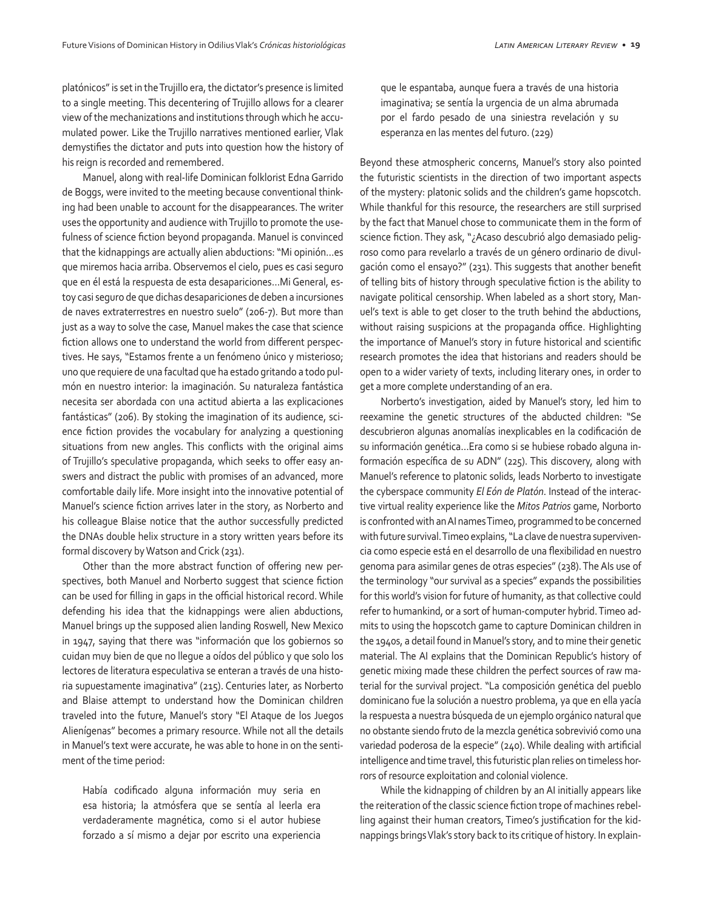platónicos" is set in the Trujillo era, the dictator's presence is limited to a single meeting. This decentering of Trujillo allows for a clearer view of the mechanizations and institutions through which he accumulated power. Like the Trujillo narratives mentioned earlier, Vlak demystifies the dictator and puts into question how the history of his reign is recorded and remembered.

Manuel, along with real-life Dominican folklorist Edna Garrido de Boggs, were invited to the meeting because conventional thinking had been unable to account for the disappearances. The writer uses the opportunity and audience with Trujillo to promote the usefulness of science fiction beyond propaganda. Manuel is convinced that the kidnappings are actually alien abductions: "Mi opinión…es que miremos hacia arriba. Observemos el cielo, pues es casi seguro que en él está la respuesta de esta desapariciones…Mi General, estoy casi seguro de que dichas desapariciones de deben a incursiones de naves extraterrestres en nuestro suelo" (206-7). But more than just as a way to solve the case, Manuel makes the case that science fiction allows one to understand the world from different perspectives. He says, "Estamos frente a un fenómeno único y misterioso; uno que requiere de una facultad que ha estado gritando a todo pulmón en nuestro interior: la imaginación. Su naturaleza fantástica necesita ser abordada con una actitud abierta a las explicaciones fantásticas" (206). By stoking the imagination of its audience, science fiction provides the vocabulary for analyzing a questioning situations from new angles. This conflicts with the original aims of Trujillo's speculative propaganda, which seeks to offer easy answers and distract the public with promises of an advanced, more comfortable daily life. More insight into the innovative potential of Manuel's science fiction arrives later in the story, as Norberto and his colleague Blaise notice that the author successfully predicted the DNAs double helix structure in a story written years before its formal discovery by Watson and Crick (231).

Other than the more abstract function of offering new perspectives, both Manuel and Norberto suggest that science fiction can be used for filling in gaps in the official historical record. While defending his idea that the kidnappings were alien abductions, Manuel brings up the supposed alien landing Roswell, New Mexico in 1947, saying that there was "información que los gobiernos so cuidan muy bien de que no llegue a oídos del público y que solo los lectores de literatura especulativa se enteran a través de una historia supuestamente imaginativa" (215). Centuries later, as Norberto and Blaise attempt to understand how the Dominican children traveled into the future, Manuel's story "El Ataque de los Juegos Alienígenas" becomes a primary resource. While not all the details in Manuel's text were accurate, he was able to hone in on the sentiment of the time period:

Había codificado alguna información muy seria en esa historia; la atmósfera que se sentía al leerla era verdaderamente magnética, como si el autor hubiese forzado a sí mismo a dejar por escrito una experiencia

que le espantaba, aunque fuera a través de una historia imaginativa; se sentía la urgencia de un alma abrumada por el fardo pesado de una siniestra revelación y su esperanza en las mentes del futuro. (229)

Beyond these atmospheric concerns, Manuel's story also pointed the futuristic scientists in the direction of two important aspects of the mystery: platonic solids and the children's game hopscotch. While thankful for this resource, the researchers are still surprised by the fact that Manuel chose to communicate them in the form of science fiction. They ask, "¿Acaso descubrió algo demasiado peligroso como para revelarlo a través de un género ordinario de divulgación como el ensayo?" (231). This suggests that another benefit of telling bits of history through speculative fiction is the ability to navigate political censorship. When labeled as a short story, Manuel's text is able to get closer to the truth behind the abductions, without raising suspicions at the propaganda office. Highlighting the importance of Manuel's story in future historical and scientific research promotes the idea that historians and readers should be open to a wider variety of texts, including literary ones, in order to get a more complete understanding of an era.

Norberto's investigation, aided by Manuel's story, led him to reexamine the genetic structures of the abducted children: "Se descubrieron algunas anomalías inexplicables en la codificación de su información genética…Era como si se hubiese robado alguna información específica de su ADN" (225). This discovery, along with Manuel's reference to platonic solids, leads Norberto to investigate the cyberspace community *El Eón de Platón*. Instead of the interactive virtual reality experience like the *Mitos Patrios* game, Norborto is confronted with an AI names Timeo, programmed to be concerned with future survival. Timeo explains, "La clave de nuestra supervivencia como especie está en el desarrollo de una flexibilidad en nuestro genoma para asimilar genes de otras especies" (238). The AIs use of the terminology "our survival as a species" expands the possibilities for this world's vision for future of humanity, as that collective could refer to humankind, or a sort of human-computer hybrid. Timeo admits to using the hopscotch game to capture Dominican children in the 1940s, a detail found in Manuel's story, and to mine their genetic material. The AI explains that the Dominican Republic's history of genetic mixing made these children the perfect sources of raw material for the survival project. "La composición genética del pueblo dominicano fue la solución a nuestro problema, ya que en ella yacía la respuesta a nuestra búsqueda de un ejemplo orgánico natural que no obstante siendo fruto de la mezcla genética sobrevivió como una variedad poderosa de la especie" (240). While dealing with artificial intelligence and time travel, this futuristic plan relies on timeless horrors of resource exploitation and colonial violence.

While the kidnapping of children by an AI initially appears like the reiteration of the classic science fiction trope of machines rebelling against their human creators, Timeo's justification for the kidnappings brings Vlak's story back to its critique of history. In explain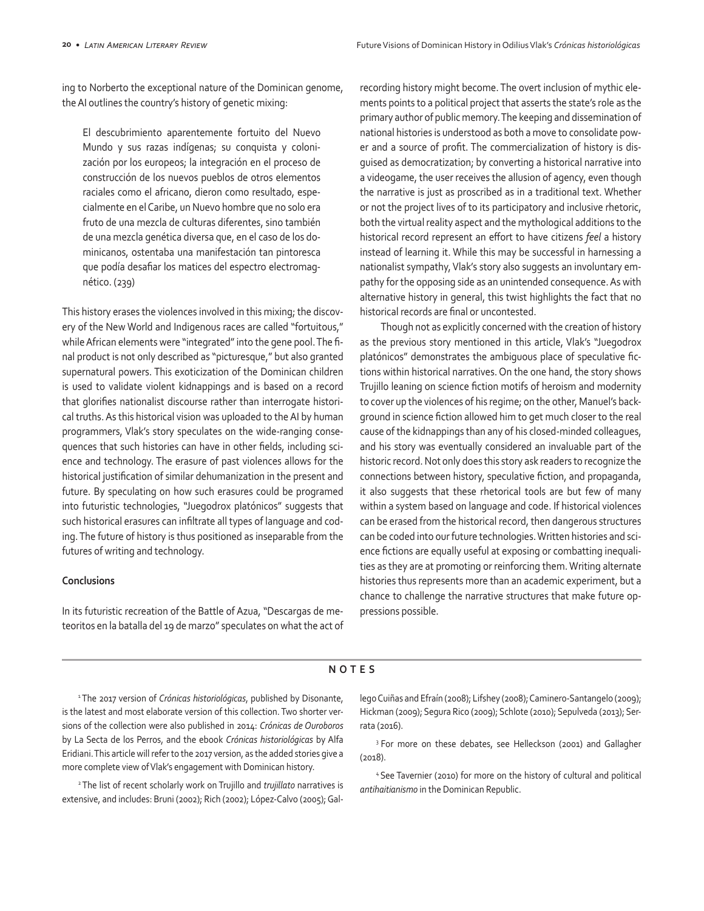ing to Norberto the exceptional nature of the Dominican genome, the AI outlines the country's history of genetic mixing:

El descubrimiento aparentemente fortuito del Nuevo Mundo y sus razas indígenas; su conquista y colonización por los europeos; la integración en el proceso de construcción de los nuevos pueblos de otros elementos raciales como el africano, dieron como resultado, especialmente en el Caribe, un Nuevo hombre que no solo era fruto de una mezcla de culturas diferentes, sino también de una mezcla genética diversa que, en el caso de los dominicanos, ostentaba una manifestación tan pintoresca que podía desafiar los matices del espectro electromagnético. (239)

This history erases the violences involved in this mixing; the discovery of the New World and Indigenous races are called "fortuitous," while African elements were "integrated" into the gene pool. The final product is not only described as "picturesque," but also granted supernatural powers. This exoticization of the Dominican children is used to validate violent kidnappings and is based on a record that glorifies nationalist discourse rather than interrogate historical truths. As this historical vision was uploaded to the AI by human programmers, Vlak's story speculates on the wide-ranging consequences that such histories can have in other fields, including science and technology. The erasure of past violences allows for the historical justification of similar dehumanization in the present and future. By speculating on how such erasures could be programed into futuristic technologies, "Juegodrox platónicos" suggests that such historical erasures can infiltrate all types of language and coding. The future of history is thus positioned as inseparable from the futures of writing and technology.

## **Conclusions**

In its futuristic recreation of the Battle of Azua, "Descargas de meteoritos en la batalla del 19 de marzo" speculates on what the act of recording history might become. The overt inclusion of mythic elements points to a political project that asserts the state's role as the primary author of public memory. The keeping and dissemination of national histories is understood as both a move to consolidate power and a source of profit. The commercialization of history is disguised as democratization; by converting a historical narrative into a videogame, the user receives the allusion of agency, even though the narrative is just as proscribed as in a traditional text. Whether or not the project lives of to its participatory and inclusive rhetoric, both the virtual reality aspect and the mythological additions to the historical record represent an effort to have citizens *feel* a history instead of learning it. While this may be successful in harnessing a nationalist sympathy, Vlak's story also suggests an involuntary empathy for the opposing side as an unintended consequence. As with alternative history in general, this twist highlights the fact that no historical records are final or uncontested.

Though not as explicitly concerned with the creation of history as the previous story mentioned in this article, Vlak's "Juegodrox platónicos" demonstrates the ambiguous place of speculative fictions within historical narratives. On the one hand, the story shows Trujillo leaning on science fiction motifs of heroism and modernity to cover up the violences of his regime; on the other, Manuel's background in science fiction allowed him to get much closer to the real cause of the kidnappings than any of his closed-minded colleagues, and his story was eventually considered an invaluable part of the historic record. Not only does this story ask readers to recognize the connections between history, speculative fiction, and propaganda, it also suggests that these rhetorical tools are but few of many within a system based on language and code. If historical violences can be erased from the historical record, then dangerous structures can be coded into our future technologies. Written histories and science fictions are equally useful at exposing or combatting inequalities as they are at promoting or reinforcing them. Writing alternate histories thus represents more than an academic experiment, but a chance to challenge the narrative structures that make future oppressions possible.

#### **NOTES**

1 The 2017 version of *Crónicas historiológicas*, published by Disonante, is the latest and most elaborate version of this collection. Two shorter versions of the collection were also published in 2014: *Crónicas de Ouroboros* by La Secta de los Perros, and the ebook *Crónicas historiológicas* by Alfa Eridiani. This article will refer to the 2017 version, as the added stories give a more complete view of Vlak's engagement with Dominican history.

2 The list of recent scholarly work on Trujillo and *trujillato* narratives is extensive, and includes: Bruni (2002); Rich (2002); López-Calvo (2005); Gallego Cuiñas and Efraín (2008); Lifshey (2008); Caminero-Santangelo (2009); Hickman (2009); Segura Rico (2009); Schlote (2010); Sepulveda (2013); Serrata (2016).

<sup>3</sup> For more on these debates, see Helleckson (2001) and Gallagher (2018).

4 See Tavernier (2010) for more on the history of cultural and political *antihaitianismo* in the Dominican Republic.